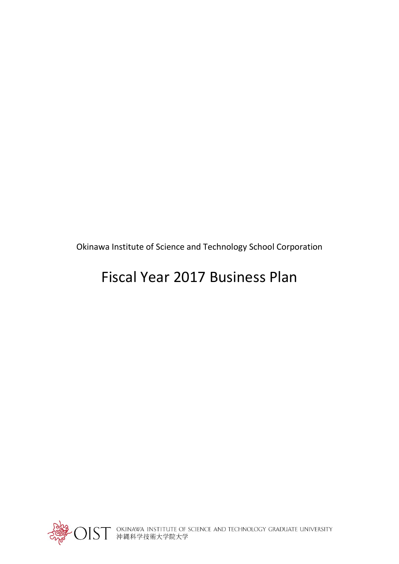Okinawa Institute of Science and Technology School Corporation

# Fiscal Year 2017 Business Plan



○IST OKINAWA INSTITUTE OF SCIENCE AND TECHNOLOGY GRADUATE UNIVERSITY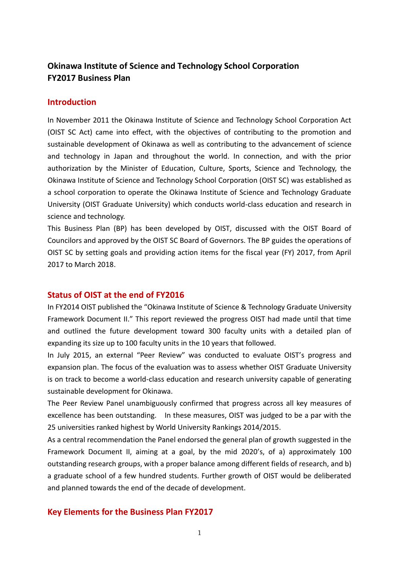# **Okinawa Institute of Science and Technology School Corporation FY2017 Business Plan**

## **Introduction**

In November 2011 the Okinawa Institute of Science and Technology School Corporation Act (OIST SC Act) came into effect, with the objectives of contributing to the promotion and sustainable development of Okinawa as well as contributing to the advancement of science and technology in Japan and throughout the world. In connection, and with the prior authorization by the Minister of Education, Culture, Sports, Science and Technology, the Okinawa Institute of Science and Technology School Corporation (OIST SC) was established as a school corporation to operate the Okinawa Institute of Science and Technology Graduate University (OIST Graduate University) which conducts world-class education and research in science and technology.

This Business Plan (BP) has been developed by OIST, discussed with the OIST Board of Councilors and approved by the OIST SC Board of Governors. The BP guides the operations of OIST SC by setting goals and providing action items for the fiscal year (FY) 2017, from April 2017 to March 2018.

# **Status of OIST at the end of FY2016**

In FY2014 OIST published the "Okinawa Institute of Science & Technology Graduate University Framework Document II." This report reviewed the progress OIST had made until that time and outlined the future development toward 300 faculty units with a detailed plan of expanding its size up to 100 faculty units in the 10 years that followed.

In July 2015, an external "Peer Review" was conducted to evaluate OIST's progress and expansion plan. The focus of the evaluation was to assess whether OIST Graduate University is on track to become a world-class education and research university capable of generating sustainable development for Okinawa.

The Peer Review Panel unambiguously confirmed that progress across all key measures of excellence has been outstanding. In these measures, OIST was judged to be a par with the 25 universities ranked highest by World University Rankings 2014/2015.

As a central recommendation the Panel endorsed the general plan of growth suggested in the Framework Document II, aiming at a goal, by the mid 2020's, of a) approximately 100 outstanding research groups, with a proper balance among different fields of research, and b) a graduate school of a few hundred students. Further growth of OIST would be deliberated and planned towards the end of the decade of development.

# **Key Elements for the Business Plan FY2017**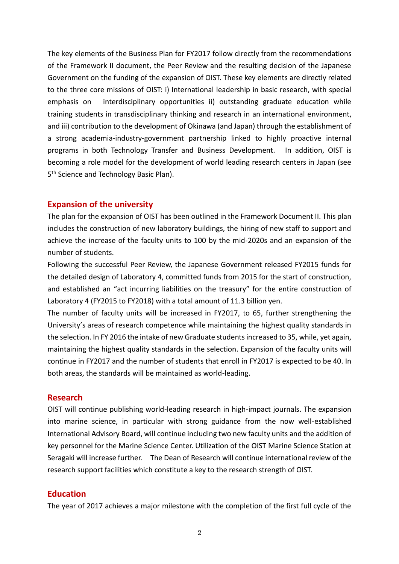The key elements of the Business Plan for FY2017 follow directly from the recommendations of the Framework II document, the Peer Review and the resulting decision of the Japanese Government on the funding of the expansion of OIST. These key elements are directly related to the three core missions of OIST: i) International leadership in basic research, with special emphasis on interdisciplinary opportunities ii) outstanding graduate education while training students in transdisciplinary thinking and research in an international environment, and iii) contribution to the development of Okinawa (and Japan) through the establishment of a strong academia-industry-government partnership linked to highly proactive internal programs in both Technology Transfer and Business Development. In addition, OIST is becoming a role model for the development of world leading research centers in Japan (see 5<sup>th</sup> Science and Technology Basic Plan).

### **Expansion of the university**

The plan for the expansion of OIST has been outlined in the Framework Document II. This plan includes the construction of new laboratory buildings, the hiring of new staff to support and achieve the increase of the faculty units to 100 by the mid-2020s and an expansion of the number of students.

Following the successful Peer Review, the Japanese Government released FY2015 funds for the detailed design of Laboratory 4, committed funds from 2015 for the start of construction, and established an "act incurring liabilities on the treasury" for the entire construction of Laboratory 4 (FY2015 to FY2018) with a total amount of 11.3 billion yen.

The number of faculty units will be increased in FY2017, to 65, further strengthening the University's areas of research competence while maintaining the highest quality standards in the selection. In FY 2016 the intake of new Graduate students increased to 35, while, yet again, maintaining the highest quality standards in the selection. Expansion of the faculty units will continue in FY2017 and the number of students that enroll in FY2017 is expected to be 40. In both areas, the standards will be maintained as world-leading.

#### **Research**

OIST will continue publishing world-leading research in high-impact journals. The expansion into marine science, in particular with strong guidance from the now well-established International Advisory Board, will continue including two new faculty units and the addition of key personnel for the Marine Science Center. Utilization of the OIST Marine Science Station at Seragaki will increase further. The Dean of Research will continue international review of the research support facilities which constitute a key to the research strength of OIST.

#### **Education**

The year of 2017 achieves a major milestone with the completion of the first full cycle of the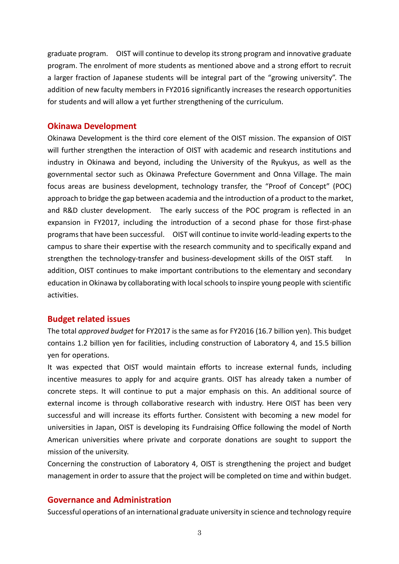graduate program. OIST will continue to develop its strong program and innovative graduate program. The enrolment of more students as mentioned above and a strong effort to recruit a larger fraction of Japanese students will be integral part of the "growing university". The addition of new faculty members in FY2016 significantly increases the research opportunities for students and will allow a yet further strengthening of the curriculum.

### **Okinawa Development**

Okinawa Development is the third core element of the OIST mission. The expansion of OIST will further strengthen the interaction of OIST with academic and research institutions and industry in Okinawa and beyond, including the University of the Ryukyus, as well as the governmental sector such as Okinawa Prefecture Government and Onna Village. The main focus areas are business development, technology transfer, the "Proof of Concept" (POC) approach to bridge the gap between academia and the introduction of a product to the market, and R&D cluster development. The early success of the POC program is reflected in an expansion in FY2017, including the introduction of a second phase for those first-phase programs that have been successful. OIST will continue to invite world-leading experts to the campus to share their expertise with the research community and to specifically expand and strengthen the technology-transfer and business-development skills of the OIST staff. In addition, OIST continues to make important contributions to the elementary and secondary education in Okinawa by collaborating with local schools to inspire young people with scientific activities.

#### **Budget related issues**

The total *approved budget* for FY2017 is the same as for FY2016 (16.7 billion yen). This budget contains 1.2 billion yen for facilities, including construction of Laboratory 4, and 15.5 billion yen for operations.

It was expected that OIST would maintain efforts to increase external funds, including incentive measures to apply for and acquire grants. OIST has already taken a number of concrete steps. It will continue to put a major emphasis on this. An additional source of external income is through collaborative research with industry. Here OIST has been very successful and will increase its efforts further. Consistent with becoming a new model for universities in Japan, OIST is developing its Fundraising Office following the model of North American universities where private and corporate donations are sought to support the mission of the university.

Concerning the construction of Laboratory 4, OIST is strengthening the project and budget management in order to assure that the project will be completed on time and within budget.

# **Governance and Administration**

Successful operations of an international graduate university in science and technology require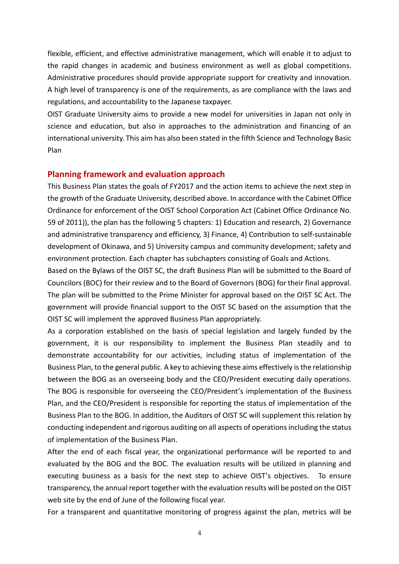flexible, efficient, and effective administrative management, which will enable it to adjust to the rapid changes in academic and business environment as well as global competitions. Administrative procedures should provide appropriate support for creativity and innovation. A high level of transparency is one of the requirements, as are compliance with the laws and regulations, and accountability to the Japanese taxpayer.

OIST Graduate University aims to provide a new model for universities in Japan not only in science and education, but also in approaches to the administration and financing of an international university. This aim has also been stated in the fifth Science and Technology Basic Plan

#### **Planning framework and evaluation approach**

This Business Plan states the goals of FY2017 and the action items to achieve the next step in the growth of the Graduate University, described above. In accordance with the Cabinet Office Ordinance for enforcement of the OIST School Corporation Act (Cabinet Office Ordinance No. 59 of 2011)), the plan has the following 5 chapters: 1) Education and research, 2) Governance and administrative transparency and efficiency, 3) Finance, 4) Contribution to self-sustainable development of Okinawa, and 5) University campus and community development; safety and environment protection. Each chapter has subchapters consisting of Goals and Actions.

Based on the Bylaws of the OIST SC, the draft Business Plan will be submitted to the Board of Councilors (BOC) for their review and to the Board of Governors (BOG) for their final approval. The plan will be submitted to the Prime Minister for approval based on the OIST SC Act. The government will provide financial support to the OIST SC based on the assumption that the OIST SC will implement the approved Business Plan appropriately.

As a corporation established on the basis of special legislation and largely funded by the government, it is our responsibility to implement the Business Plan steadily and to demonstrate accountability for our activities, including status of implementation of the Business Plan, to the general public. A key to achieving these aims effectively is the relationship between the BOG as an overseeing body and the CEO/President executing daily operations. The BOG is responsible for overseeing the CEO/President's implementation of the Business Plan, and the CEO/President is responsible for reporting the status of implementation of the Business Plan to the BOG. In addition, the Auditors of OIST SC will supplement this relation by conducting independent and rigorous auditing on all aspects of operations including the status of implementation of the Business Plan.

After the end of each fiscal year, the organizational performance will be reported to and evaluated by the BOG and the BOC. The evaluation results will be utilized in planning and executing business as a basis for the next step to achieve OIST's objectives. To ensure transparency, the annual report together with the evaluation results will be posted on the OIST web site by the end of June of the following fiscal year.

For a transparent and quantitative monitoring of progress against the plan, metrics will be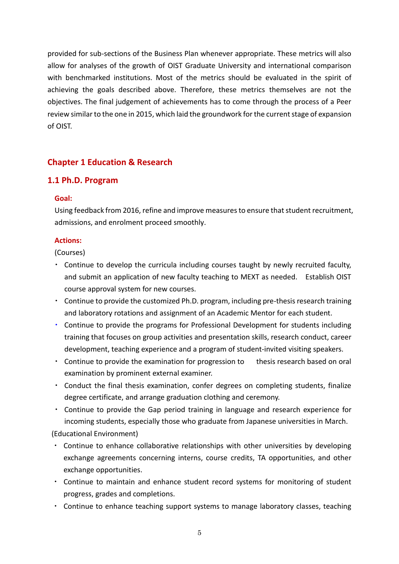provided for sub-sections of the Business Plan whenever appropriate. These metrics will also allow for analyses of the growth of OIST Graduate University and international comparison with benchmarked institutions. Most of the metrics should be evaluated in the spirit of achieving the goals described above. Therefore, these metrics themselves are not the objectives. The final judgement of achievements has to come through the process of a Peer review similar to the one in 2015, which laid the groundwork for the current stage of expansion of OIST.

# **Chapter 1 Education & Research**

# **1.1 Ph.D. Program**

### **Goal:**

Using feedback from 2016, refine and improve measures to ensure that student recruitment, admissions, and enrolment proceed smoothly.

# **Actions:**

(Courses)

- ・ Continue to develop the curricula including courses taught by newly recruited faculty, and submit an application of new faculty teaching to MEXT as needed. Establish OIST course approval system for new courses.
- ・ Continue to provide the customized Ph.D. program, including pre-thesis research training and laboratory rotations and assignment of an Academic Mentor for each student.
- Continue to provide the programs for Professional Development for students including training that focuses on group activities and presentation skills, research conduct, career development, teaching experience and a program of student-invited visiting speakers.
- Continue to provide the examination for progression to thesis research based on oral examination by prominent external examiner.
- ・ Conduct the final thesis examination, confer degrees on completing students, finalize degree certificate, and arrange graduation clothing and ceremony.
- ・ Continue to provide the Gap period training in language and research experience for incoming students, especially those who graduate from Japanese universities in March.

(Educational Environment)

- Continue to enhance collaborative relationships with other universities by developing exchange agreements concerning interns, course credits, TA opportunities, and other exchange opportunities.
- ・ Continue to maintain and enhance student record systems for monitoring of student progress, grades and completions.
- ・ Continue to enhance teaching support systems to manage laboratory classes, teaching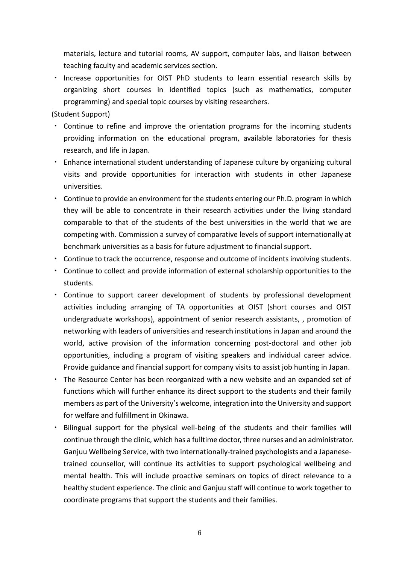materials, lecture and tutorial rooms, AV support, computer labs, and liaison between teaching faculty and academic services section.

・ Increase opportunities for OIST PhD students to learn essential research skills by organizing short courses in identified topics (such as mathematics, computer programming) and special topic courses by visiting researchers.

(Student Support)

- ・ Continue to refine and improve the orientation programs for the incoming students providing information on the educational program, available laboratories for thesis research, and life in Japan.
- ・ Enhance international student understanding of Japanese culture by organizing cultural visits and provide opportunities for interaction with students in other Japanese universities.
- ・ Continue to provide an environment for the students entering our Ph.D. program in which they will be able to concentrate in their research activities under the living standard comparable to that of the students of the best universities in the world that we are competing with. Commission a survey of comparative levels of support internationally at benchmark universities as a basis for future adjustment to financial support.
- ・ Continue to track the occurrence, response and outcome of incidents involving students.
- ・ Continue to collect and provide information of external scholarship opportunities to the students.
- ・ Continue to support career development of students by professional development activities including arranging of TA opportunities at OIST (short courses and OIST undergraduate workshops), appointment of senior research assistants, , promotion of networking with leaders of universities and research institutions in Japan and around the world, active provision of the information concerning post-doctoral and other job opportunities, including a program of visiting speakers and individual career advice. Provide guidance and financial support for company visits to assist job hunting in Japan.
- ・ The Resource Center has been reorganized with a new website and an expanded set of functions which will further enhance its direct support to the students and their family members as part of the University's welcome, integration into the University and support for welfare and fulfillment in Okinawa.
- ・ Bilingual support for the physical well-being of the students and their families will continue through the clinic, which has a fulltime doctor, three nurses and an administrator. Ganjuu Wellbeing Service, with two internationally-trained psychologists and a Japanesetrained counsellor, will continue its activities to support psychological wellbeing and mental health. This will include proactive seminars on topics of direct relevance to a healthy student experience. The clinic and Ganjuu staff will continue to work together to coordinate programs that support the students and their families.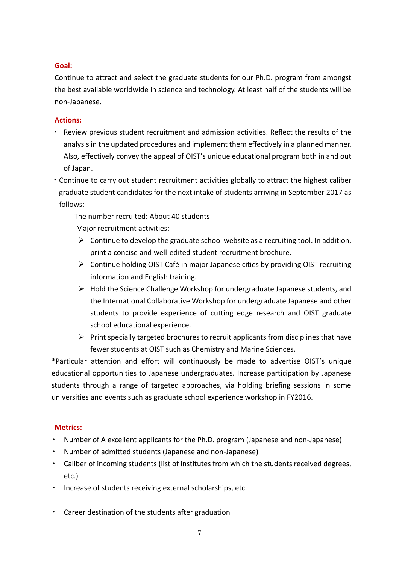## **Goal:**

Continue to attract and select the graduate students for our Ph.D. program from amongst the best available worldwide in science and technology. At least half of the students will be non-Japanese.

### **Actions:**

- ・ Review previous student recruitment and admission activities. Reflect the results of the analysis in the updated procedures and implement them effectively in a planned manner. Also, effectively convey the appeal of OIST's unique educational program both in and out of Japan.
- ・Continue to carry out student recruitment activities globally to attract the highest caliber graduate student candidates for the next intake of students arriving in September 2017 as follows:
	- The number recruited: About 40 students
	- Major recruitment activities:
		- $\triangleright$  Continue to develop the graduate school website as a recruiting tool. In addition, print a concise and well-edited student recruitment brochure.
		- $\triangleright$  Continue holding OIST Café in major Japanese cities by providing OIST recruiting information and English training.
		- $\triangleright$  Hold the Science Challenge Workshop for undergraduate Japanese students, and the International Collaborative Workshop for undergraduate Japanese and other students to provide experience of cutting edge research and OIST graduate school educational experience.
		- $\triangleright$  Print specially targeted brochures to recruit applicants from disciplines that have fewer students at OIST such as Chemistry and Marine Sciences.

\*Particular attention and effort will continuously be made to advertise OIST's unique educational opportunities to Japanese undergraduates. Increase participation by Japanese students through a range of targeted approaches, via holding briefing sessions in some universities and events such as graduate school experience workshop in FY2016.

# **Metrics:**

- Number of A excellent applicants for the Ph.D. program (Japanese and non-Japanese)
- Number of admitted students (Japanese and non-Japanese)
- ・ Caliber of incoming students (list of institutes from which the students received degrees, etc.)
- ・ Increase of students receiving external scholarships, etc.
- ・ Career destination of the students after graduation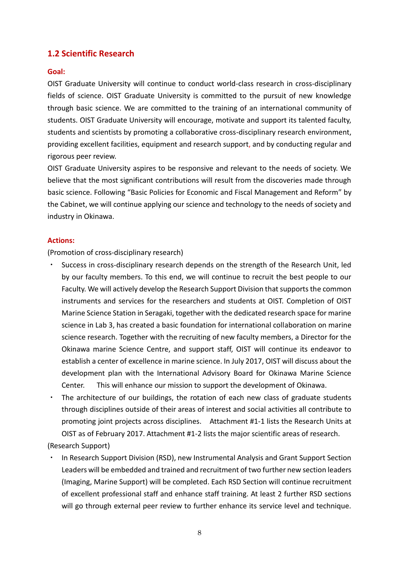# **1.2 Scientific Research**

#### **Goal:**

OIST Graduate University will continue to conduct world-class research in cross-disciplinary fields of science. OIST Graduate University is committed to the pursuit of new knowledge through basic science. We are committed to the training of an international community of students. OIST Graduate University will encourage, motivate and support its talented faculty, students and scientists by promoting a collaborative cross-disciplinary research environment, providing excellent facilities, equipment and research support, and by conducting regular and rigorous peer review.

OIST Graduate University aspires to be responsive and relevant to the needs of society. We believe that the most significant contributions will result from the discoveries made through basic science. Following "Basic Policies for Economic and Fiscal Management and Reform" by the Cabinet, we will continue applying our science and technology to the needs of society and industry in Okinawa.

#### **Actions:**

(Promotion of cross-disciplinary research)

- Success in cross-disciplinary research depends on the strength of the Research Unit, led by our faculty members. To this end, we will continue to recruit the best people to our Faculty. We will actively develop the Research Support Division that supports the common instruments and services for the researchers and students at OIST. Completion of OIST Marine Science Station in Seragaki, together with the dedicated research space for marine science in Lab 3, has created a basic foundation for international collaboration on marine science research. Together with the recruiting of new faculty members, a Director for the Okinawa marine Science Centre, and support staff, OIST will continue its endeavor to establish a center of excellence in marine science. In July 2017, OIST will discuss about the development plan with the International Advisory Board for Okinawa Marine Science Center. This will enhance our mission to support the development of Okinawa.
- The architecture of our buildings, the rotation of each new class of graduate students through disciplines outside of their areas of interest and social activities all contribute to promoting joint projects across disciplines. Attachment #1-1 lists the Research Units at OIST as of February 2017. Attachment #1-2 lists the major scientific areas of research.

(Research Support)

In Research Support Division (RSD), new Instrumental Analysis and Grant Support Section Leaders will be embedded and trained and recruitment of two further new section leaders (Imaging, Marine Support) will be completed. Each RSD Section will continue recruitment of excellent professional staff and enhance staff training. At least 2 further RSD sections will go through external peer review to further enhance its service level and technique.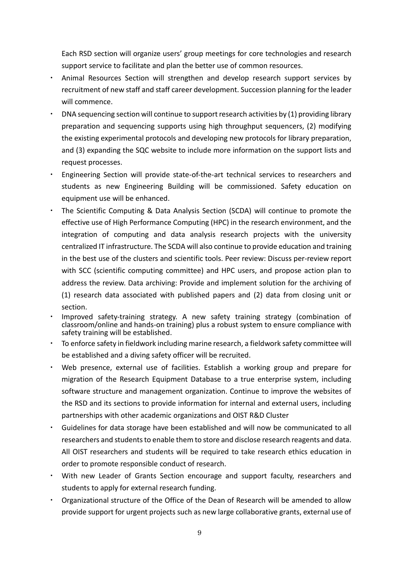Each RSD section will organize users' group meetings for core technologies and research support service to facilitate and plan the better use of common resources.

- ・ Animal Resources Section will strengthen and develop research support services by recruitment of new staff and staff career development. Succession planning for the leader will commence.
- ・ DNA sequencing section will continue to support research activities by (1) providing library preparation and sequencing supports using high throughput sequencers, (2) modifying the existing experimental protocols and developing new protocols for library preparation, and (3) expanding the SQC website to include more information on the support lists and request processes.
- ・ Engineering Section will provide state-of-the-art technical services to researchers and students as new Engineering Building will be commissioned. Safety education on equipment use will be enhanced.
- The Scientific Computing & Data Analysis Section (SCDA) will continue to promote the effective use of High Performance Computing (HPC) in the research environment, and the integration of computing and data analysis research projects with the university centralized IT infrastructure. The SCDA will also continue to provide education and training in the best use of the clusters and scientific tools. Peer review: Discuss per-review report with SCC (scientific computing committee) and HPC users, and propose action plan to address the review. Data archiving: Provide and implement solution for the archiving of (1) research data associated with published papers and (2) data from closing unit or section.
- Improved safety-training strategy. A new safety training strategy (combination of classroom/online and hands-on training) plus a robust system to ensure compliance with safety training will be established.
- To enforce safety in fieldwork including marine research, a fieldwork safety committee will be established and a diving safety officer will be recruited.
- Web presence, external use of facilities. Establish a working group and prepare for migration of the Research Equipment Database to a true enterprise system, including software structure and management organization. Continue to improve the websites of the RSD and its sections to provide information for internal and external users, including partnerships with other academic organizations and OIST R&D Cluster
- Guidelines for data storage have been established and will now be communicated to all researchers and students to enable them to store and disclose research reagents and data. All OIST researchers and students will be required to take research ethics education in order to promote responsible conduct of research.
- ・ With new Leader of Grants Section encourage and support faculty, researchers and students to apply for external research funding.
- ・ Organizational structure of the Office of the Dean of Research will be amended to allow provide support for urgent projects such as new large collaborative grants, external use of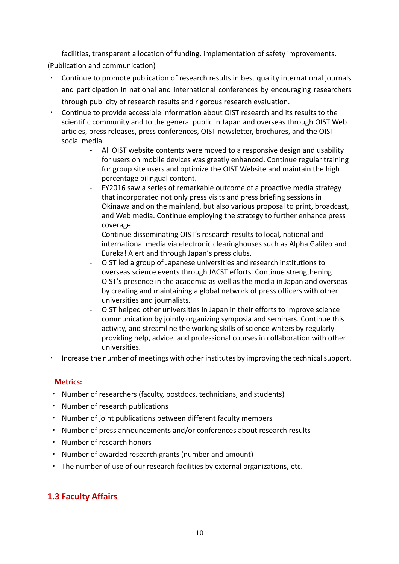facilities, transparent allocation of funding, implementation of safety improvements.

(Publication and communication)

- Continue to promote publication of research results in best quality international journals and participation in national and international conferences by encouraging researchers through publicity of research results and rigorous research evaluation.
- Continue to provide accessible information about OIST research and its results to the scientific community and to the general public in Japan and overseas through OIST Web articles, press releases, press conferences, OIST newsletter, brochures, and the OIST social media.
	- All OIST website contents were moved to a responsive design and usability for users on mobile devices was greatly enhanced. Continue regular training for group site users and optimize the OIST Website and maintain the high percentage bilingual content.
	- FY2016 saw a series of remarkable outcome of a proactive media strategy that incorporated not only press visits and press briefing sessions in Okinawa and on the mainland, but also various proposal to print, broadcast, and Web media. Continue employing the strategy to further enhance press coverage.
	- Continue disseminating OIST's research results to local, national and international media via electronic clearinghouses such as Alpha Galileo and Eureka! Alert and through Japan's press clubs.
	- OIST led a group of Japanese universities and research institutions to overseas science events through JACST efforts. Continue strengthening OIST's presence in the academia as well as the media in Japan and overseas by creating and maintaining a global network of press officers with other universities and journalists.
	- OIST helped other universities in Japan in their efforts to improve science communication by jointly organizing symposia and seminars. Continue this activity, and streamline the working skills of science writers by regularly providing help, advice, and professional courses in collaboration with other universities.
- ・ Increase the number of meetings with other institutes by improving the technical support.

# **Metrics:**

- ・ Number of researchers (faculty, postdocs, technicians, and students)
- ・ Number of research publications
- ・ Number of joint publications between different faculty members
- ・ Number of press announcements and/or conferences about research results
- ・ Number of research honors
- ・ Number of awarded research grants (number and amount)
- ・ The number of use of our research facilities by external organizations, etc.

# **1.3 Faculty Affairs**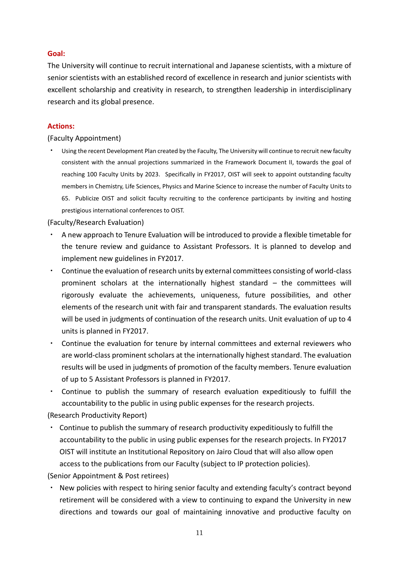## **Goal:**

The University will continue to recruit international and Japanese scientists, with a mixture of senior scientists with an established record of excellence in research and junior scientists with excellent scholarship and creativity in research, to strengthen leadership in interdisciplinary research and its global presence.

#### **Actions:**

(Faculty Appointment)

Using the recent Development Plan created by the Faculty, The University will continue to recruit new faculty consistent with the annual projections summarized in the Framework Document II, towards the goal of reaching 100 Faculty Units by 2023. Specifically in FY2017, OIST will seek to appoint outstanding faculty members in Chemistry, Life Sciences, Physics and Marine Science to increase the number of Faculty Units to 65. Publicize OIST and solicit faculty recruiting to the conference participants by inviting and hosting prestigious international conferences to OIST.

(Faculty/Research Evaluation)

- ・ A new approach to Tenure Evaluation will be introduced to provide a flexible timetable for the tenure review and guidance to Assistant Professors. It is planned to develop and implement new guidelines in FY2017.
- ・ Continue the evaluation of research units by external committees consisting of world-class prominent scholars at the internationally highest standard – the committees will rigorously evaluate the achievements, uniqueness, future possibilities, and other elements of the research unit with fair and transparent standards. The evaluation results will be used in judgments of continuation of the research units. Unit evaluation of up to 4 units is planned in FY2017.
- ・ Continue the evaluation for tenure by internal committees and external reviewers who are world-class prominent scholars at the internationally highest standard. The evaluation results will be used in judgments of promotion of the faculty members. Tenure evaluation of up to 5 Assistant Professors is planned in FY2017.
- ・ Continue to publish the summary of research evaluation expeditiously to fulfill the accountability to the public in using public expenses for the research projects.

(Research Productivity Report)

・ Continue to publish the summary of research productivity expeditiously to fulfill the accountability to the public in using public expenses for the research projects. In FY2017 OIST will institute an Institutional Repository on Jairo Cloud that will also allow open access to the publications from our Faculty (subject to IP protection policies).

(Senior Appointment & Post retirees)

New policies with respect to hiring senior faculty and extending faculty's contract beyond retirement will be considered with a view to continuing to expand the University in new directions and towards our goal of maintaining innovative and productive faculty on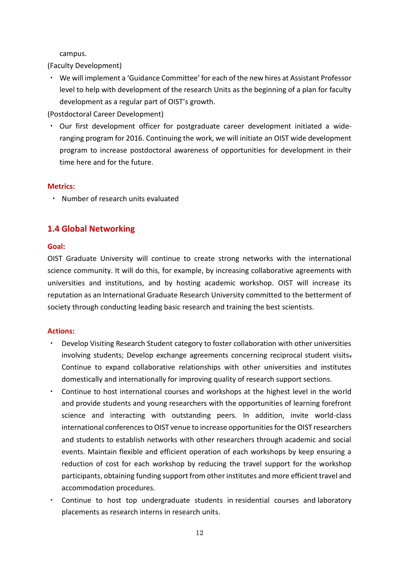campus.

(Faculty Development)

・ We will implement a 'Guidance Committee' for each of the new hires at Assistant Professor level to help with development of the research Units as the beginning of a plan for faculty development as a regular part of OIST's growth.

(Postdoctoral Career Development)

• Our first development officer for postgraduate career development initiated a wideranging program for 2016. Continuing the work, we will initiate an OIST wide development program to increase postdoctoral awareness of opportunities for development in their time here and for the future.

#### **Metrics:**

・ Number of research units evaluated

# **1.4 Global Networking**

#### **Goal:**

OIST Graduate University will continue to create strong networks with the international science community. It will do this, for example, by increasing collaborative agreements with universities and institutions, and by hosting academic workshop. OIST will increase its reputation as an International Graduate Research University committed to the betterment of society through conducting leading basic research and training the best scientists.

- Develop Visiting Research Student category to foster collaboration with other universities involving students; Develop exchange agreements concerning reciprocal student visits-Continue to expand collaborative relationships with other universities and institutes domestically and internationally for improving quality of research support sections.
- ・ Continue to host international courses and workshops at the highest level in the world and provide students and young researchers with the opportunities of learning forefront science and interacting with outstanding peers. In addition, invite world-class international conferences to OIST venue to increase opportunities for the OIST researchers and students to establish networks with other researchers through academic and social events. Maintain flexible and efficient operation of each workshops by keep ensuring a reduction of cost for each workshop by reducing the travel support for the workshop participants, obtaining funding support from other institutes and more efficient travel and accommodation procedures.
- Continue to host top undergraduate students in residential courses and laboratory placements as research interns in research units.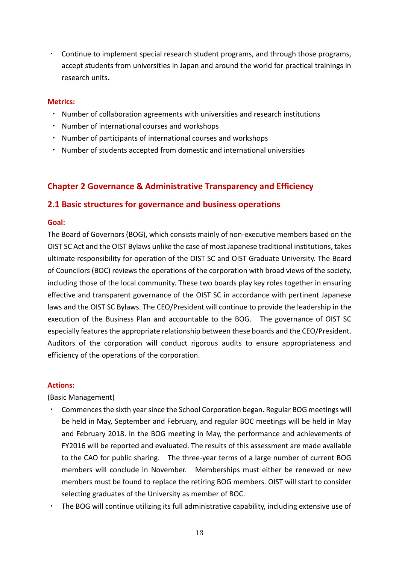・ Continue to implement special research student programs, and through those programs, accept students from universities in Japan and around the world for practical trainings in research units**.** 

#### **Metrics:**

- ・ Number of collaboration agreements with universities and research institutions
- ・ Number of international courses and workshops
- ・ Number of participants of international courses and workshops
- ・ Number of students accepted from domestic and international universities

# **Chapter 2 Governance & Administrative Transparency and Efficiency**

# **2.1 Basic structures for governance and business operations**

#### **Goal:**

The Board of Governors (BOG), which consists mainly of non-executive members based on the OIST SC Act and the OIST Bylaws unlike the case of most Japanese traditional institutions, takes ultimate responsibility for operation of the OIST SC and OIST Graduate University. The Board of Councilors (BOC) reviews the operations of the corporation with broad views of the society, including those of the local community. These two boards play key roles together in ensuring effective and transparent governance of the OIST SC in accordance with pertinent Japanese laws and the OIST SC Bylaws. The CEO/President will continue to provide the leadership in the execution of the Business Plan and accountable to the BOG. The governance of OIST SC especially features the appropriate relationship between these boards and the CEO/President. Auditors of the corporation will conduct rigorous audits to ensure appropriateness and efficiency of the operations of the corporation.

#### **Actions:**

(Basic Management)

- Commences the sixth year since the School Corporation began. Regular BOG meetings will be held in May, September and February, and regular BOC meetings will be held in May and February 2018. In the BOG meeting in May, the performance and achievements of FY2016 will be reported and evaluated. The results of this assessment are made available to the CAO for public sharing. The three-year terms of a large number of current BOG members will conclude in November. Memberships must either be renewed or new members must be found to replace the retiring BOG members. OIST will start to consider selecting graduates of the University as member of BOC.
- ・ The BOG will continue utilizing its full administrative capability, including extensive use of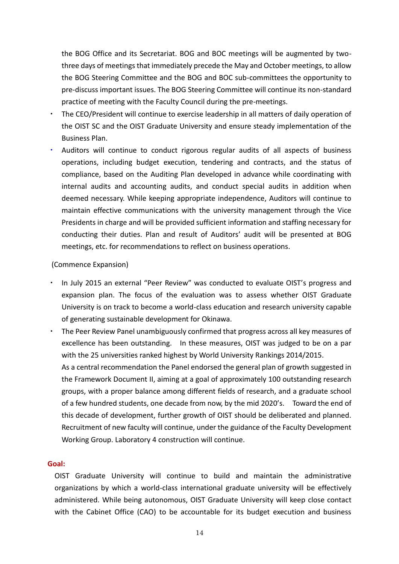the BOG Office and its Secretariat. BOG and BOC meetings will be augmented by twothree days of meetings that immediately precede the May and October meetings, to allow the BOG Steering Committee and the BOG and BOC sub-committees the opportunity to pre-discuss important issues. The BOG Steering Committee will continue its non-standard practice of meeting with the Faculty Council during the pre-meetings.

- The CEO/President will continue to exercise leadership in all matters of daily operation of the OIST SC and the OIST Graduate University and ensure steady implementation of the Business Plan.
- Auditors will continue to conduct rigorous regular audits of all aspects of business operations, including budget execution, tendering and contracts, and the status of compliance, based on the Auditing Plan developed in advance while coordinating with internal audits and accounting audits, and conduct special audits in addition when deemed necessary. While keeping appropriate independence, Auditors will continue to maintain effective communications with the university management through the Vice Presidents in charge and will be provided sufficient information and staffing necessary for conducting their duties. Plan and result of Auditors' audit will be presented at BOG meetings, etc. for recommendations to reflect on business operations.

#### (Commence Expansion)

- In July 2015 an external "Peer Review" was conducted to evaluate OIST's progress and expansion plan. The focus of the evaluation was to assess whether OIST Graduate University is on track to become a world-class education and research university capable of generating sustainable development for Okinawa.
- ・ The Peer Review Panel unambiguously confirmed that progress across all key measures of excellence has been outstanding. In these measures, OIST was judged to be on a par with the 25 universities ranked highest by World University Rankings 2014/2015. As a central recommendation the Panel endorsed the general plan of growth suggested in the Framework Document II, aiming at a goal of approximately 100 outstanding research groups, with a proper balance among different fields of research, and a graduate school of a few hundred students, one decade from now, by the mid 2020's. Toward the end of this decade of development, further growth of OIST should be deliberated and planned. Recruitment of new faculty will continue, under the guidance of the Faculty Development Working Group. Laboratory 4 construction will continue.

#### **Goal:**

OIST Graduate University will continue to build and maintain the administrative organizations by which a world-class international graduate university will be effectively administered. While being autonomous, OIST Graduate University will keep close contact with the Cabinet Office (CAO) to be accountable for its budget execution and business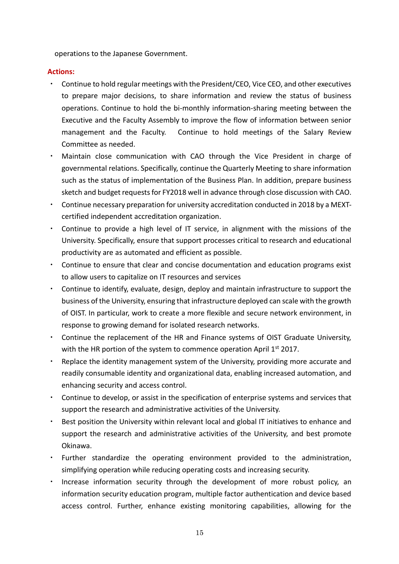operations to the Japanese Government.

- ・ Continue to hold regular meetings with the President/CEO, Vice CEO, and other executives to prepare major decisions, to share information and review the status of business operations. Continue to hold the bi-monthly information-sharing meeting between the Executive and the Faculty Assembly to improve the flow of information between senior management and the Faculty. Continue to hold meetings of the Salary Review Committee as needed.
- ・ Maintain close communication with CAO through the Vice President in charge of governmental relations. Specifically, continue the Quarterly Meeting to share information such as the status of implementation of the Business Plan. In addition, prepare business sketch and budget requests for FY2018 well in advance through close discussion with CAO.
- ・ Continue necessary preparation for university accreditation conducted in 2018 by a MEXTcertified independent accreditation organization.
- ・ Continue to provide a high level of IT service, in alignment with the missions of the University. Specifically, ensure that support processes critical to research and educational productivity are as automated and efficient as possible.
- Continue to ensure that clear and concise documentation and education programs exist to allow users to capitalize on IT resources and services
- ・ Continue to identify, evaluate, design, deploy and maintain infrastructure to support the business of the University, ensuring that infrastructure deployed can scale with the growth of OIST. In particular, work to create a more flexible and secure network environment, in response to growing demand for isolated research networks.
- ・ Continue the replacement of the HR and Finance systems of OIST Graduate University, with the HR portion of the system to commence operation April 1<sup>st</sup> 2017.
- Replace the identity management system of the University, providing more accurate and readily consumable identity and organizational data, enabling increased automation, and enhancing security and access control.
- ・ Continue to develop, or assist in the specification of enterprise systems and services that support the research and administrative activities of the University.
- Best position the University within relevant local and global IT initiatives to enhance and support the research and administrative activities of the University, and best promote Okinawa.
- ・ Further standardize the operating environment provided to the administration, simplifying operation while reducing operating costs and increasing security.
- ・ Increase information security through the development of more robust policy, an information security education program, multiple factor authentication and device based access control. Further, enhance existing monitoring capabilities, allowing for the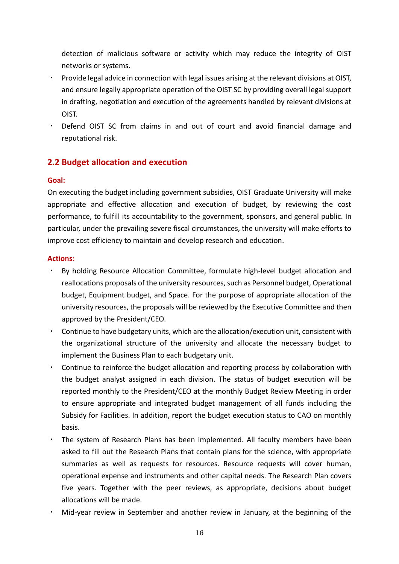detection of malicious software or activity which may reduce the integrity of OIST networks or systems.

- ・ Provide legal advice in connection with legal issues arising at the relevant divisions at OIST, and ensure legally appropriate operation of the OIST SC by providing overall legal support in drafting, negotiation and execution of the agreements handled by relevant divisions at OIST.
- ・ Defend OIST SC from claims in and out of court and avoid financial damage and reputational risk.

# **2.2 Budget allocation and execution**

### **Goal:**

On executing the budget including government subsidies, OIST Graduate University will make appropriate and effective allocation and execution of budget, by reviewing the cost performance, to fulfill its accountability to the government, sponsors, and general public. In particular, under the prevailing severe fiscal circumstances, the university will make efforts to improve cost efficiency to maintain and develop research and education.

- By holding Resource Allocation Committee, formulate high-level budget allocation and reallocations proposals of the university resources, such as Personnel budget, Operational budget, Equipment budget, and Space. For the purpose of appropriate allocation of the university resources, the proposals will be reviewed by the Executive Committee and then approved by the President/CEO.
- ・ Continue to have budgetary units, which are the allocation/execution unit, consistent with the organizational structure of the university and allocate the necessary budget to implement the Business Plan to each budgetary unit.
- ・ Continue to reinforce the budget allocation and reporting process by collaboration with the budget analyst assigned in each division. The status of budget execution will be reported monthly to the President/CEO at the monthly Budget Review Meeting in order to ensure appropriate and integrated budget management of all funds including the Subsidy for Facilities. In addition, report the budget execution status to CAO on monthly basis.
- ・ The system of Research Plans has been implemented. All faculty members have been asked to fill out the Research Plans that contain plans for the science, with appropriate summaries as well as requests for resources. Resource requests will cover human, operational expense and instruments and other capital needs. The Research Plan covers five years. Together with the peer reviews, as appropriate, decisions about budget allocations will be made.
- Mid-year review in September and another review in January, at the beginning of the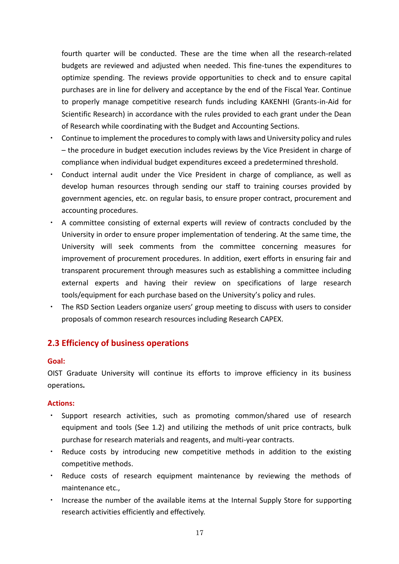fourth quarter will be conducted. These are the time when all the research-related budgets are reviewed and adjusted when needed. This fine-tunes the expenditures to optimize spending. The reviews provide opportunities to check and to ensure capital purchases are in line for delivery and acceptance by the end of the Fiscal Year. Continue to properly manage competitive research funds including KAKENHI (Grants-in-Aid for Scientific Research) in accordance with the rules provided to each grant under the Dean of Research while coordinating with the Budget and Accounting Sections.

- ・ Continue to implement the procedures to comply with laws and University policy and rules – the procedure in budget execution includes reviews by the Vice President in charge of compliance when individual budget expenditures exceed a predetermined threshold.
- Conduct internal audit under the Vice President in charge of compliance, as well as develop human resources through sending our staff to training courses provided by government agencies, etc. on regular basis, to ensure proper contract, procurement and accounting procedures.
- ・ A committee consisting of external experts will review of contracts concluded by the University in order to ensure proper implementation of tendering. At the same time, the University will seek comments from the committee concerning measures for improvement of procurement procedures. In addition, exert efforts in ensuring fair and transparent procurement through measures such as establishing a committee including external experts and having their review on specifications of large research tools/equipment for each purchase based on the University's policy and rules.
- ・ The RSD Section Leaders organize users' group meeting to discuss with users to consider proposals of common research resources including Research CAPEX.

# **2.3 Efficiency of business operations**

#### **Goal:**

OIST Graduate University will continue its efforts to improve efficiency in its business operations**.** 

- ・ Support research activities, such as promoting common/shared use of research equipment and tools (See 1.2) and utilizing the methods of unit price contracts, bulk purchase for research materials and reagents, and multi-year contracts.
- ・ Reduce costs by introducing new competitive methods in addition to the existing competitive methods.
- ・ Reduce costs of research equipment maintenance by reviewing the methods of maintenance etc.,
- ・ Increase the number of the available items at the Internal Supply Store for supporting research activities efficiently and effectively.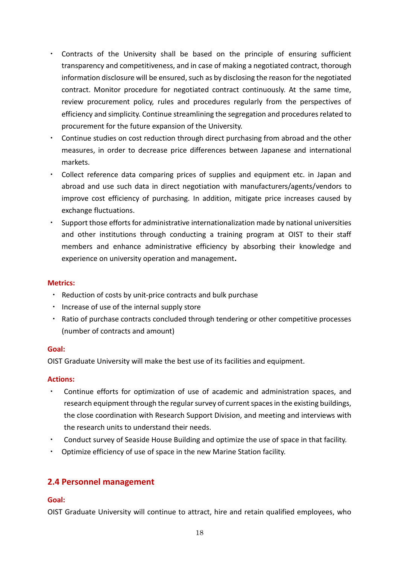- ・ Contracts of the University shall be based on the principle of ensuring sufficient transparency and competitiveness, and in case of making a negotiated contract, thorough information disclosure will be ensured, such as by disclosing the reason for the negotiated contract. Monitor procedure for negotiated contract continuously. At the same time, review procurement policy, rules and procedures regularly from the perspectives of efficiency and simplicity. Continue streamlining the segregation and procedures related to procurement for the future expansion of the University.
- ・ Continue studies on cost reduction through direct purchasing from abroad and the other measures, in order to decrease price differences between Japanese and international markets.
- ・ Collect reference data comparing prices of supplies and equipment etc. in Japan and abroad and use such data in direct negotiation with manufacturers/agents/vendors to improve cost efficiency of purchasing. In addition, mitigate price increases caused by exchange fluctuations.
- ・ Support those efforts for administrative internationalization made by national universities and other institutions through conducting a training program at OIST to their staff members and enhance administrative efficiency by absorbing their knowledge and experience on university operation and management**.**

#### **Metrics:**

- ・ Reduction of costs by unit-price contracts and bulk purchase
- ・ Increase of use of the internal supply store
- ・ Ratio of purchase contracts concluded through tendering or other competitive processes (number of contracts and amount)

#### **Goal:**

OIST Graduate University will make the best use of its facilities and equipment.

#### **Actions:**

- Continue efforts for optimization of use of academic and administration spaces, and research equipment through the regular survey of current spaces in the existing buildings, the close coordination with Research Support Division, and meeting and interviews with the research units to understand their needs.
- Conduct survey of Seaside House Building and optimize the use of space in that facility.
- Optimize efficiency of use of space in the new Marine Station facility.

# **2.4 Personnel management**

# **Goal:**

OIST Graduate University will continue to attract, hire and retain qualified employees, who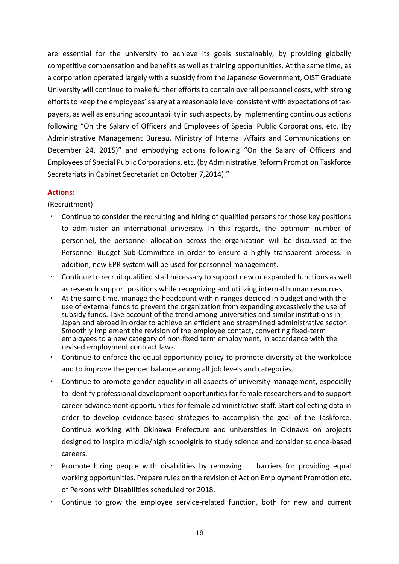are essential for the university to achieve its goals sustainably, by providing globally competitive compensation and benefits as well as training opportunities. At the same time, as a corporation operated largely with a subsidy from the Japanese Government, OIST Graduate University will continue to make further efforts to contain overall personnel costs, with strong efforts to keep the employees' salary at a reasonable level consistent with expectations of taxpayers, as well as ensuring accountability in such aspects, by implementing continuous actions following "On the Salary of Officers and Employees of Special Public Corporations, etc. (by Administrative Management Bureau, Ministry of Internal Affairs and Communications on December 24, 2015)" and embodying actions following "On the Salary of Officers and Employees of Special Public Corporations, etc. (by Administrative Reform Promotion Taskforce Secretariats in Cabinet Secretariat on October 7,2014)."

### **Actions:**

(Recruitment)

- Continue to consider the recruiting and hiring of qualified persons for those key positions to administer an international university. In this regards, the optimum number of personnel, the personnel allocation across the organization will be discussed at the Personnel Budget Sub-Committee in order to ensure a highly transparent process. In addition, new EPR system will be used for personnel management.
- ・ Continue to recruit qualified staff necessary to support new or expanded functions as well as research support positions while recognizing and utilizing internal human resources.
- At the same time, manage the headcount within ranges decided in budget and with the use of external funds to prevent the organization from expanding excessively the use of subsidy funds. Take account of the trend among universities and similar institutions in Japan and abroad in order to achieve an efficient and streamlined administrative sector. Smoothly implement the revision of the employee contact, converting fixed-term employees to a new category of non-fixed term employment, in accordance with the revised employment contract laws.
- Continue to enforce the equal opportunity policy to promote diversity at the workplace and to improve the gender balance among all job levels and categories.
- Continue to promote gender equality in all aspects of university management, especially to identify professional development opportunities for female researchers and to support career advancement opportunities for female administrative staff. Start collecting data in order to develop evidence-based strategies to accomplish the goal of the Taskforce. Continue working with Okinawa Prefecture and universities in Okinawa on projects designed to inspire middle/high schoolgirls to study science and consider science-based careers.
- Promote hiring people with disabilities by removing barriers for providing equal working opportunities. Prepare rules on the revision of Act on Employment Promotion etc. of Persons with Disabilities scheduled for 2018.
- ・ Continue to grow the employee service-related function, both for new and current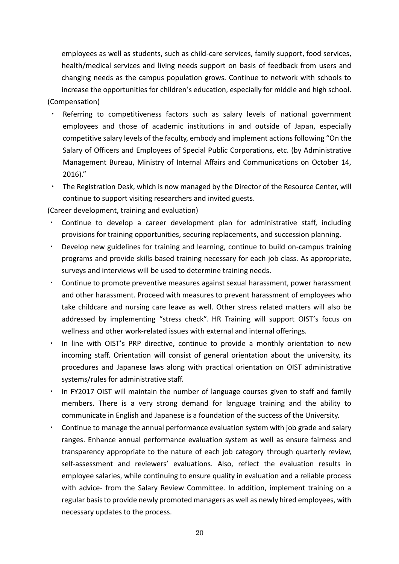employees as well as students, such as child-care services, family support, food services, health/medical services and living needs support on basis of feedback from users and changing needs as the campus population grows. Continue to network with schools to increase the opportunities for children's education, especially for middle and high school. (Compensation)

- Referring to competitiveness factors such as salary levels of national government employees and those of academic institutions in and outside of Japan, especially competitive salary levels of the faculty, embody and implement actions following "On the Salary of Officers and Employees of Special Public Corporations, etc. (by Administrative Management Bureau, Ministry of Internal Affairs and Communications on October 14, 2016)."
- The Registration Desk, which is now managed by the Director of the Resource Center, will continue to support visiting researchers and invited guests.

(Career development, training and evaluation)

- Continue to develop a career development plan for administrative staff, including provisions for training opportunities, securing replacements, and succession planning.
- Develop new guidelines for training and learning, continue to build on-campus training programs and provide skills-based training necessary for each job class. As appropriate, surveys and interviews will be used to determine training needs.
- ・ Continue to promote preventive measures against sexual harassment, power harassment and other harassment. Proceed with measures to prevent harassment of employees who take childcare and nursing care leave as well. Other stress related matters will also be addressed by implementing "stress check". HR Training will support OIST's focus on wellness and other work-related issues with external and internal offerings.
- In line with OIST's PRP directive, continue to provide a monthly orientation to new incoming staff. Orientation will consist of general orientation about the university, its procedures and Japanese laws along with practical orientation on OIST administrative systems/rules for administrative staff.
- In FY2017 OIST will maintain the number of language courses given to staff and family members. There is a very strong demand for language training and the ability to communicate in English and Japanese is a foundation of the success of the University.
- Continue to manage the annual performance evaluation system with job grade and salary ranges. Enhance annual performance evaluation system as well as ensure fairness and transparency appropriate to the nature of each job category through quarterly review, self-assessment and reviewers' evaluations. Also, reflect the evaluation results in employee salaries, while continuing to ensure quality in evaluation and a reliable process with advice- from the Salary Review Committee. In addition, implement training on a regular basis to provide newly promoted managers as well as newly hired employees, with necessary updates to the process.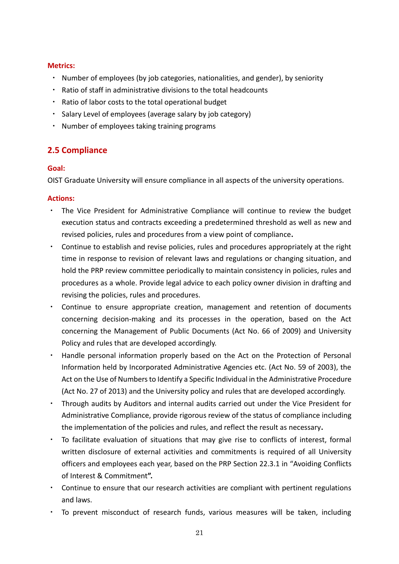#### **Metrics:**

- ・ Number of employees (by job categories, nationalities, and gender), by seniority
- Ratio of staff in administrative divisions to the total headcounts
- ・ Ratio of labor costs to the total operational budget
- ・ Salary Level of employees (average salary by job category)
- ・ Number of employees taking training programs

# **2.5 Compliance**

### **Goal:**

OIST Graduate University will ensure compliance in all aspects of the university operations.

- ・ The Vice President for Administrative Compliance will continue to review the budget execution status and contracts exceeding a predetermined threshold as well as new and revised policies, rules and procedures from a view point of compliance**.**
- ・ Continue to establish and revise policies, rules and procedures appropriately at the right time in response to revision of relevant laws and regulations or changing situation, and hold the PRP review committee periodically to maintain consistency in policies, rules and procedures as a whole. Provide legal advice to each policy owner division in drafting and revising the policies, rules and procedures.
- ・ Continue to ensure appropriate creation, management and retention of documents concerning decision-making and its processes in the operation, based on the Act concerning the Management of Public Documents (Act No. 66 of 2009) and University Policy and rules that are developed accordingly.
- ・ Handle personal information properly based on the Act on the Protection of Personal Information held by Incorporated Administrative Agencies etc. (Act No. 59 of 2003), the Act on the Use of Numbers to Identify a Specific Individual in the Administrative Procedure (Act No. 27 of 2013) and the University policy and rules that are developed accordingly.
- ・ Through audits by Auditors and internal audits carried out under the Vice President for Administrative Compliance, provide rigorous review of the status of compliance including the implementation of the policies and rules, and reflect the result as necessary**.**
- ・ To facilitate evaluation of situations that may give rise to conflicts of interest, formal written disclosure of external activities and commitments is required of all University officers and employees each year, based on the PRP Section 22.3.1 in "Avoiding Conflicts of Interest & Commitment**".**
- ・ Continue to ensure that our research activities are compliant with pertinent regulations and laws.
- ・ To prevent misconduct of research funds, various measures will be taken, including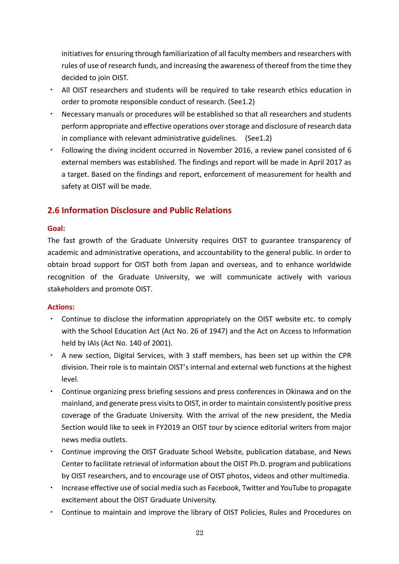initiatives for ensuring through familiarization of all faculty members and researchers with rules of use of research funds, and increasing the awareness of thereof from the time they decided to join OIST.

- All OIST researchers and students will be required to take research ethics education in order to promote responsible conduct of research. (See1.2)
- ・ Necessary manuals or procedures will be established so that all researchers and students perform appropriate and effective operations over storage and disclosure of research data in compliance with relevant administrative guidelines. (See1.2)
- ・ Following the diving incident occurred in November 2016, a review panel consisted of 6 external members was established. The findings and report will be made in April 2017 as a target. Based on the findings and report, enforcement of measurement for health and safety at OIST will be made.

# **2.6 Information Disclosure and Public Relations**

### **Goal:**

The fast growth of the Graduate University requires OIST to guarantee transparency of academic and administrative operations, and accountability to the general public. In order to obtain broad support for OIST both from Japan and overseas, and to enhance worldwide recognition of the Graduate University, we will communicate actively with various stakeholders and promote OIST.

- Continue to disclose the information appropriately on the OIST website etc. to comply with the School Education Act (Act No. 26 of 1947) and the Act on Access to Information held by IAIs (Act No. 140 of 2001).
- ・ A new section, Digital Services, with 3 staff members, has been set up within the CPR division. Their role is to maintain OIST's internal and external web functions at the highest level.
- ・ Continue organizing press briefing sessions and press conferences in Okinawa and on the mainland, and generate press visits to OIST, in order to maintain consistently positive press coverage of the Graduate University. With the arrival of the new president, the Media Section would like to seek in FY2019 an OIST tour by science editorial writers from major news media outlets.
- ・ Continue improving the OIST Graduate School Website, publication database, and News Center to facilitate retrieval of information about the OIST Ph.D. program and publications by OIST researchers, and to encourage use of OIST photos, videos and other multimedia.
- ・ Increase effective use of social media such as Facebook, Twitter and YouTube to propagate excitement about the OIST Graduate University.
- Continue to maintain and improve the library of OIST Policies, Rules and Procedures on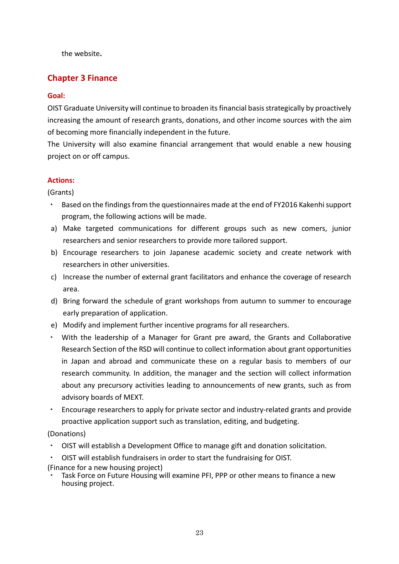the website**.** 

# **Chapter 3 Finance**

## **Goal:**

OIST Graduate University will continue to broaden its financial basis strategically by proactively increasing the amount of research grants, donations, and other income sources with the aim of becoming more financially independent in the future.

The University will also examine financial arrangement that would enable a new housing project on or off campus.

# **Actions:**

(Grants)

- Based on the findings from the questionnaires made at the end of FY2016 Kakenhi support program, the following actions will be made.
- a) Make targeted communications for different groups such as new comers, junior researchers and senior researchers to provide more tailored support.
- b) Encourage researchers to join Japanese academic society and create network with researchers in other universities.
- c) Increase the number of external grant facilitators and enhance the coverage of research area.
- d) Bring forward the schedule of grant workshops from autumn to summer to encourage early preparation of application.
- e) Modify and implement further incentive programs for all researchers.
- ・ With the leadership of a Manager for Grant pre award, the Grants and Collaborative Research Section of the RSD will continue to collect information about grant opportunities in Japan and abroad and communicate these on a regular basis to members of our research community. In addition, the manager and the section will collect information about any precursory activities leading to announcements of new grants, such as from advisory boards of MEXT.
- ・ Encourage researchers to apply for private sector and industry-related grants and provide proactive application support such as translation, editing, and budgeting.

(Donations)

- ・ OIST will establish a Development Office to manage gift and donation solicitation.
- OIST will establish fundraisers in order to start the fundraising for OIST.
- (Finance for a new housing project)
- Task Force on Future Housing will examine PFI, PPP or other means to finance a new housing project.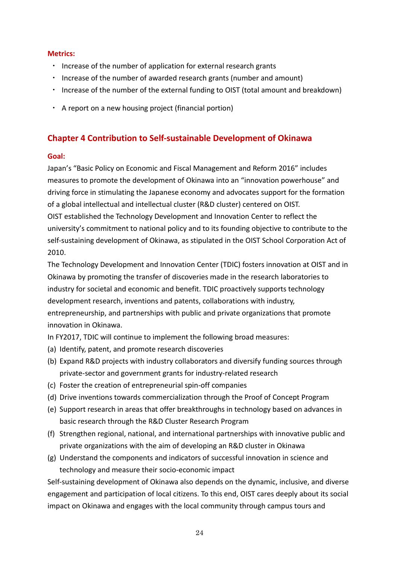#### **Metrics:**

- ・ Increase of the number of application for external research grants
- ・ Increase of the number of awarded research grants (number and amount)
- Increase of the number of the external funding to OIST (total amount and breakdown)
- ・ A report on a new housing project (financial portion)

# **Chapter 4 Contribution to Self-sustainable Development of Okinawa**

#### **Goal:**

Japan's "Basic Policy on Economic and Fiscal Management and Reform 2016" includes measures to promote the development of Okinawa into an "innovation powerhouse" and driving force in stimulating the Japanese economy and advocates support for the formation of a global intellectual and intellectual cluster (R&D cluster) centered on OIST. OIST established the Technology Development and Innovation Center to reflect the university's commitment to national policy and to its founding objective to contribute to the self-sustaining development of Okinawa, as stipulated in the OIST School Corporation Act of 2010.

The Technology Development and Innovation Center (TDIC) fosters innovation at OIST and in Okinawa by promoting the transfer of discoveries made in the research laboratories to industry for societal and economic and benefit. TDIC proactively supports technology development research, inventions and patents, collaborations with industry, entrepreneurship, and partnerships with public and private organizations that promote innovation in Okinawa.

In FY2017, TDIC will continue to implement the following broad measures:

- (a) Identify, patent, and promote research discoveries
- (b) Expand R&D projects with industry collaborators and diversify funding sources through private-sector and government grants for industry-related research
- (c) Foster the creation of entrepreneurial spin-off companies
- (d) Drive inventions towards commercialization through the Proof of Concept Program
- (e) Support research in areas that offer breakthroughs in technology based on advances in basic research through the R&D Cluster Research Program
- (f) Strengthen regional, national, and international partnerships with innovative public and private organizations with the aim of developing an R&D cluster in Okinawa
- (g) Understand the components and indicators of successful innovation in science and technology and measure their socio-economic impact

Self-sustaining development of Okinawa also depends on the dynamic, inclusive, and diverse engagement and participation of local citizens. To this end, OIST cares deeply about its social impact on Okinawa and engages with the local community through campus tours and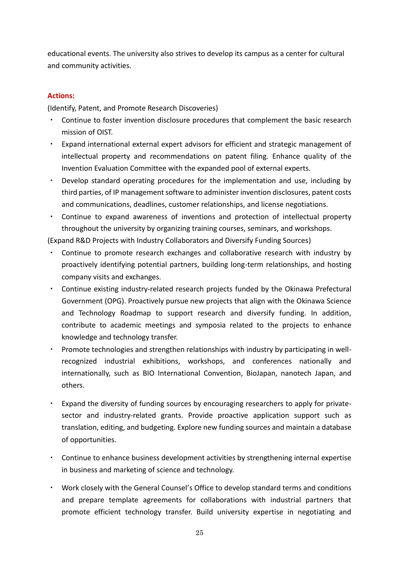educational events. The university also strives to develop its campus as a center for cultural and community activities.

# **Actions:**

(Identify, Patent, and Promote Research Discoveries)

- ・ Continue to foster invention disclosure procedures that complement the basic research mission of OIST.
- ・ Expand international external expert advisors for efficient and strategic management of intellectual property and recommendations on patent filing. Enhance quality of the Invention Evaluation Committee with the expanded pool of external experts.
- ・ Develop standard operating procedures for the implementation and use, including by third parties, of IP management software to administer invention disclosures, patent costs and communications, deadlines, customer relationships, and license negotiations.
- ・ Continue to expand awareness of inventions and protection of intellectual property throughout the university by organizing training courses, seminars, and workshops.

(Expand R&D Projects with Industry Collaborators and Diversify Funding Sources)

- Continue to promote research exchanges and collaborative research with industry by proactively identifying potential partners, building long-term relationships, and hosting company visits and exchanges.
- ・ Continue existing industry-related research projects funded by the Okinawa Prefectural Government (OPG). Proactively pursue new projects that align with the Okinawa Science and Technology Roadmap to support research and diversify funding. In addition, contribute to academic meetings and symposia related to the projects to enhance knowledge and technology transfer.
- ・ Promote technologies and strengthen relationships with industry by participating in wellrecognized industrial exhibitions, workshops, and conferences nationally and internationally, such as BIO International Convention, BioJapan, nanotech Japan, and others.
- ・ Expand the diversity of funding sources by encouraging researchers to apply for privatesector and industry-related grants. Provide proactive application support such as translation, editing, and budgeting. Explore new funding sources and maintain a database of opportunities.
- ・ Continue to enhance business development activities by strengthening internal expertise in business and marketing of science and technology.
- ・ Work closely with the General Counsel's Office to develop standard terms and conditions and prepare template agreements for collaborations with industrial partners that promote efficient technology transfer. Build university expertise in negotiating and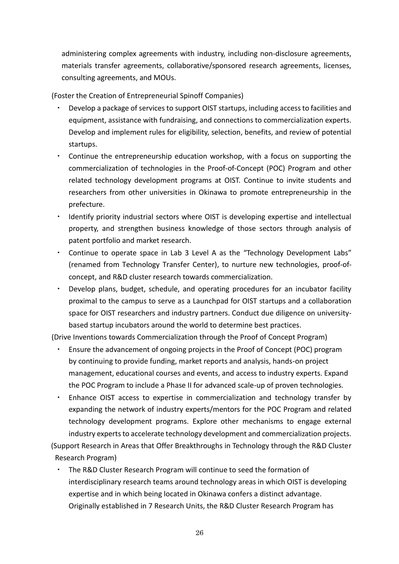administering complex agreements with industry, including non-disclosure agreements, materials transfer agreements, collaborative/sponsored research agreements, licenses, consulting agreements, and MOUs.

(Foster the Creation of Entrepreneurial Spinoff Companies)

- Develop a package of services to support OIST startups, including access to facilities and equipment, assistance with fundraising, and connections to commercialization experts. Develop and implement rules for eligibility, selection, benefits, and review of potential startups.
- ・ Continue the entrepreneurship education workshop, with a focus on supporting the commercialization of technologies in the Proof-of-Concept (POC) Program and other related technology development programs at OIST. Continue to invite students and researchers from other universities in Okinawa to promote entrepreneurship in the prefecture.
- Identify priority industrial sectors where OIST is developing expertise and intellectual property, and strengthen business knowledge of those sectors through analysis of patent portfolio and market research.
- Continue to operate space in Lab 3 Level A as the "Technology Development Labs" (renamed from Technology Transfer Center), to nurture new technologies, proof-ofconcept, and R&D cluster research towards commercialization.
- Develop plans, budget, schedule, and operating procedures for an incubator facility proximal to the campus to serve as a Launchpad for OIST startups and a collaboration space for OIST researchers and industry partners. Conduct due diligence on universitybased startup incubators around the world to determine best practices.

(Drive Inventions towards Commercialization through the Proof of Concept Program)

- ・ Ensure the advancement of ongoing projects in the Proof of Concept (POC) program by continuing to provide funding, market reports and analysis, hands-on project management, educational courses and events, and access to industry experts. Expand the POC Program to include a Phase II for advanced scale-up of proven technologies.
- Enhance OIST access to expertise in commercialization and technology transfer by expanding the network of industry experts/mentors for the POC Program and related technology development programs. Explore other mechanisms to engage external industry experts to accelerate technology development and commercialization projects.

(Support Research in Areas that Offer Breakthroughs in Technology through the R&D Cluster Research Program)

The R&D Cluster Research Program will continue to seed the formation of interdisciplinary research teams around technology areas in which OIST is developing expertise and in which being located in Okinawa confers a distinct advantage. Originally established in 7 Research Units, the R&D Cluster Research Program has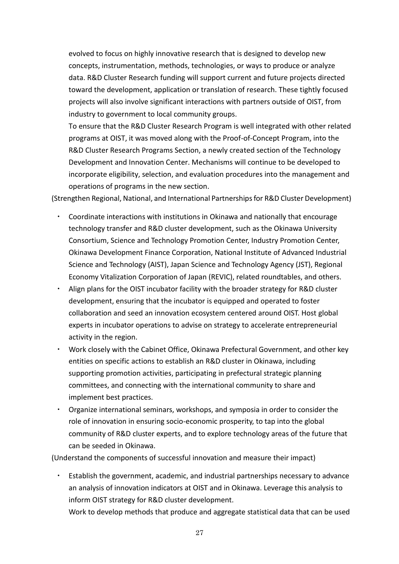evolved to focus on highly innovative research that is designed to develop new concepts, instrumentation, methods, technologies, or ways to produce or analyze data. R&D Cluster Research funding will support current and future projects directed toward the development, application or translation of research. These tightly focused projects will also involve significant interactions with partners outside of OIST, from industry to government to local community groups.

To ensure that the R&D Cluster Research Program is well integrated with other related programs at OIST, it was moved along with the Proof-of-Concept Program, into the R&D Cluster Research Programs Section, a newly created section of the Technology Development and Innovation Center. Mechanisms will continue to be developed to incorporate eligibility, selection, and evaluation procedures into the management and operations of programs in the new section.

(Strengthen Regional, National, and International Partnerships for R&D Cluster Development)

- Coordinate interactions with institutions in Okinawa and nationally that encourage technology transfer and R&D cluster development, such as the Okinawa University Consortium, Science and Technology Promotion Center, Industry Promotion Center, Okinawa Development Finance Corporation, National Institute of Advanced Industrial Science and Technology (AIST), Japan Science and Technology Agency (JST), Regional Economy Vitalization Corporation of Japan (REVIC), related roundtables, and others.
- Align plans for the OIST incubator facility with the broader strategy for R&D cluster development, ensuring that the incubator is equipped and operated to foster collaboration and seed an innovation ecosystem centered around OIST. Host global experts in incubator operations to advise on strategy to accelerate entrepreneurial activity in the region.
- ・ Work closely with the Cabinet Office, Okinawa Prefectural Government, and other key entities on specific actions to establish an R&D cluster in Okinawa, including supporting promotion activities, participating in prefectural strategic planning committees, and connecting with the international community to share and implement best practices.
- Organize international seminars, workshops, and symposia in order to consider the role of innovation in ensuring socio-economic prosperity, to tap into the global community of R&D cluster experts, and to explore technology areas of the future that can be seeded in Okinawa.

(Understand the components of successful innovation and measure their impact)

- Establish the government, academic, and industrial partnerships necessary to advance an analysis of innovation indicators at OIST and in Okinawa. Leverage this analysis to inform OIST strategy for R&D cluster development.
	- Work to develop methods that produce and aggregate statistical data that can be used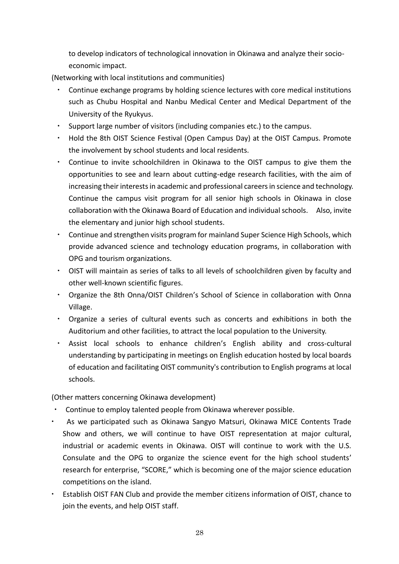to develop indicators of technological innovation in Okinawa and analyze their socioeconomic impact.

(Networking with local institutions and communities)

- Continue exchange programs by holding science lectures with core medical institutions such as Chubu Hospital and Nanbu Medical Center and Medical Department of the University of the Ryukyus.
- Support large number of visitors (including companies etc.) to the campus.
- ・ Hold the 8th OIST Science Festival (Open Campus Day) at the OIST Campus. Promote the involvement by school students and local residents.
- Continue to invite schoolchildren in Okinawa to the OIST campus to give them the opportunities to see and learn about cutting-edge research facilities, with the aim of increasing their interests in academic and professional careers in science and technology. Continue the campus visit program for all senior high schools in Okinawa in close collaboration with the Okinawa Board of Education and individual schools. Also, invite the elementary and junior high school students.
- Continue and strengthen visits program for mainland Super Science High Schools, which provide advanced science and technology education programs, in collaboration with OPG and tourism organizations.
- ・ OIST will maintain as series of talks to all levels of schoolchildren given by faculty and other well-known scientific figures.
- ・ Organize the 8th Onna/OIST Children's School of Science in collaboration with Onna Village.
- ・ Organize a series of cultural events such as concerts and exhibitions in both the Auditorium and other facilities, to attract the local population to the University.
- ・ Assist local schools to enhance children's English ability and cross-cultural understanding by participating in meetings on English education hosted by local boards of education and facilitating OIST community's contribution to English programs at local schools.

(Other matters concerning Okinawa development)

- Continue to employ talented people from Okinawa wherever possible.
- As we participated such as Okinawa Sangyo Matsuri, Okinawa MICE Contents Trade Show and others, we will continue to have OIST representation at major cultural, industrial or academic events in Okinawa. OIST will continue to work with the U.S. Consulate and the OPG to organize the science event for the high school students' research for enterprise, "SCORE," which is becoming one of the major science education competitions on the island.
- Establish OIST FAN Club and provide the member citizens information of OIST, chance to join the events, and help OIST staff.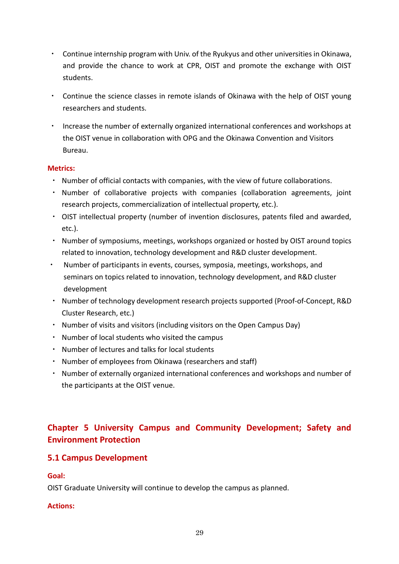- ・ Continue internship program with Univ. of the Ryukyus and other universities in Okinawa, and provide the chance to work at CPR, OIST and promote the exchange with OIST students.
- ・ Continue the science classes in remote islands of Okinawa with the help of OIST young researchers and students.
- ・ Increase the number of externally organized international conferences and workshops at the OIST venue in collaboration with OPG and the Okinawa Convention and Visitors Bureau.

# **Metrics:**

- ・ Number of official contacts with companies, with the view of future collaborations.
- ・ Number of collaborative projects with companies (collaboration agreements, joint research projects, commercialization of intellectual property, etc.).
- ・ OIST intellectual property (number of invention disclosures, patents filed and awarded, etc.).
- ・ Number of symposiums, meetings, workshops organized or hosted by OIST around topics related to innovation, technology development and R&D cluster development.
- ・ Number of participants in events, courses, symposia, meetings, workshops, and seminars on topics related to innovation, technology development, and R&D cluster development
- ・ Number of technology development research projects supported (Proof-of-Concept, R&D Cluster Research, etc.)
- ・ Number of visits and visitors (including visitors on the Open Campus Day)
- ・ Number of local students who visited the campus
- ・ Number of lectures and talks for local students
- ・ Number of employees from Okinawa (researchers and staff)
- ・ Number of externally organized international conferences and workshops and number of the participants at the OIST venue.

# **Chapter 5 University Campus and Community Development; Safety and Environment Protection**

# **5.1 Campus Development**

# **Goal:**

OIST Graduate University will continue to develop the campus as planned.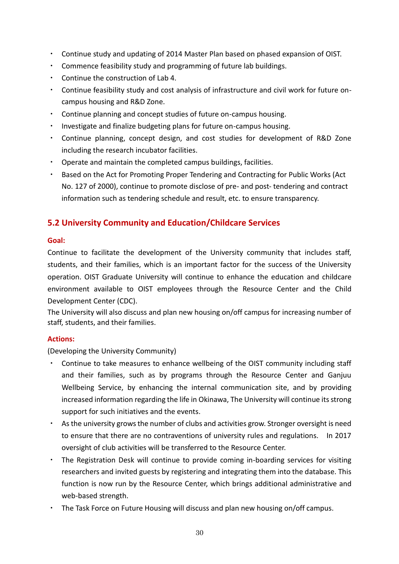- ・ Continue study and updating of 2014 Master Plan based on phased expansion of OIST.
- ・ Commence feasibility study and programming of future lab buildings.
- ・ Continue the construction of Lab 4.
- Continue feasibility study and cost analysis of infrastructure and civil work for future oncampus housing and R&D Zone.
- Continue planning and concept studies of future on-campus housing.
- Investigate and finalize budgeting plans for future on-campus housing.
- ・ Continue planning, concept design, and cost studies for development of R&D Zone including the research incubator facilities.
- ・ Operate and maintain the completed campus buildings, facilities.
- Based on the Act for Promoting Proper Tendering and Contracting for Public Works (Act No. 127 of 2000), continue to promote disclose of pre- and post- tendering and contract information such as tendering schedule and result, etc. to ensure transparency.

# **5.2 University Community and Education/Childcare Services**

### **Goal:**

Continue to facilitate the development of the University community that includes staff, students, and their families, which is an important factor for the success of the University operation. OIST Graduate University will continue to enhance the education and childcare environment available to OIST employees through the Resource Center and the Child Development Center (CDC).

The University will also discuss and plan new housing on/off campus for increasing number of staff, students, and their families.

# **Actions:**

(Developing the University Community)

- ・ Continue to take measures to enhance wellbeing of the OIST community including staff and their families, such as by programs through the Resource Center and Ganjuu Wellbeing Service, by enhancing the internal communication site, and by providing increased information regarding the life in Okinawa, The University will continue its strong support for such initiatives and the events.
- ・ As the university grows the number of clubs and activities grow. Stronger oversight is need to ensure that there are no contraventions of university rules and regulations. In 2017 oversight of club activities will be transferred to the Resource Center.
- ・ The Registration Desk will continue to provide coming in-boarding services for visiting researchers and invited guests by registering and integrating them into the database. This function is now run by the Resource Center, which brings additional administrative and web-based strength.
- ・ The Task Force on Future Housing will discuss and plan new housing on/off campus.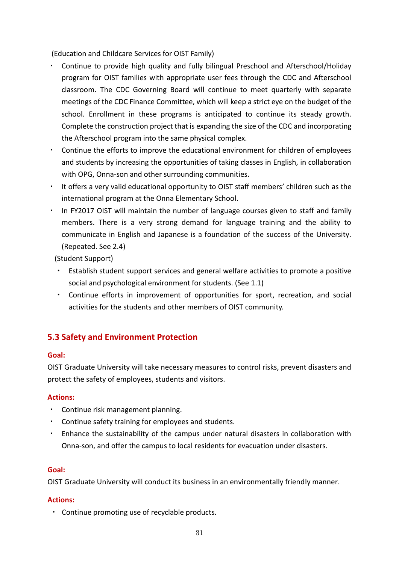(Education and Childcare Services for OIST Family)

- ・ Continue to provide high quality and fully bilingual Preschool and Afterschool/Holiday program for OIST families with appropriate user fees through the CDC and Afterschool classroom. The CDC Governing Board will continue to meet quarterly with separate meetings of the CDC Finance Committee, which will keep a strict eye on the budget of the school. Enrollment in these programs is anticipated to continue its steady growth. Complete the construction project that is expanding the size of the CDC and incorporating the Afterschool program into the same physical complex.
- ・ Continue the efforts to improve the educational environment for children of employees and students by increasing the opportunities of taking classes in English, in collaboration with OPG, Onna-son and other surrounding communities.
- ・ It offers a very valid educational opportunity to OIST staff members' children such as the international program at the Onna Elementary School.
- In FY2017 OIST will maintain the number of language courses given to staff and family members. There is a very strong demand for language training and the ability to communicate in English and Japanese is a foundation of the success of the University. (Repeated. See 2.4)

(Student Support)

- Establish student support services and general welfare activities to promote a positive social and psychological environment for students. (See 1.1)
- ・ Continue efforts in improvement of opportunities for sport, recreation, and social activities for the students and other members of OIST community.

# **5.3 Safety and Environment Protection**

# **Goal:**

OIST Graduate University will take necessary measures to control risks, prevent disasters and protect the safety of employees, students and visitors.

# **Actions:**

- Continue risk management planning.
- ・ Continue safety training for employees and students.
- ・ Enhance the sustainability of the campus under natural disasters in collaboration with Onna-son, and offer the campus to local residents for evacuation under disasters.

# **Goal:**

OIST Graduate University will conduct its business in an environmentally friendly manner.

# **Actions:**

・ Continue promoting use of recyclable products.